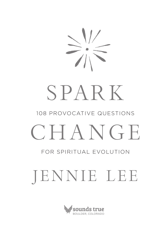

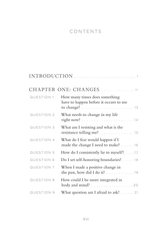# CONTENTS

|            | CHAPTER ONE: CHANGES 11                                                |
|------------|------------------------------------------------------------------------|
| QUESTION 1 | How many times does something<br>have to happen before it occurs to me |
| QUESTION 2 | What needs to change in my life                                        |
| QUESTION 3 | What am I resisting and what is the                                    |
| QUESTION 4 | What do I fear would happen if I<br>made the change I need to make? 16 |
| QUESTION 5 | How do I consistently lie to myself?17                                 |
| QUESTION 6 | Do I set self-honoring boundaries? 18                                  |
| QUESTION 7 | When I made a positive change in<br>the past, how did I do it? 19      |
| QUESTION 8 | How could I be more integrated in<br>body and mind? 20                 |
| QUESTION 9 | What question am I afraid to ask? 21                                   |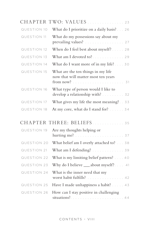|                    | CHAPTER TWO: VALUES 23                                                    |
|--------------------|---------------------------------------------------------------------------|
| QUESTION 10        | What do I prioritize on a daily basis? 26                                 |
| QUESTION 11        | What do my possessions say about my<br>prevailing values? 27              |
| QUESTION 12        | When do I feel best about myself? 28                                      |
| QUESTION 13        |                                                                           |
| QUESTION 14        | What do I want more of in my life? 30                                     |
| QUESTION 15        | What are the ten things in my life<br>now that will matter most ten years |
| QUESTION 16        | What type of person would I like to<br>develop a relationship with? 32    |
| QUESTION 17        | What gives my life the most meaning? 33                                   |
| QUESTION 18        | At my core, what do I stand for? 34                                       |
|                    | CHAPTER THREE: BELIEFS 35                                                 |
| QUESTION 19        | Are my thoughts helping or                                                |
| QUESTION 20        | What belief am I overly attached to? 38                                   |
| QUESTION 21        | What am I defending? 39                                                   |
| QUESTION 22        | What is my limiting belief pattern? 40                                    |
| QUESTION 23        | Why do I believe __ about myself? 41                                      |
| QUESTION 24        | What is the inner need that my<br>worst habit fulfills? 42                |
| <b>QUESTION 25</b> | Have I made unhappiness a habit? 43                                       |
| QUESTION 26        | How can I stay positive in challenging<br>situations?44                   |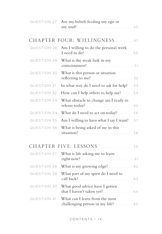| QUESTION 27        | Are my beliefs feeding my ego or                                    |
|--------------------|---------------------------------------------------------------------|
|                    | CHAPTER FOUR: WILLINGNESS  47                                       |
| QUESTION 28        | Am I willing to do the personal work<br>I need to do?50             |
| QUESTION 29        | What is the weak link in my                                         |
| QUESTION 30        | What is this person or situation                                    |
| QUESTION 31        | In what way do I need to ask for help? 53                           |
| QUESTION 32        | How can I help others to help me?54                                 |
| QUESTION 33        | What obstacle to change am I ready to                               |
| <b>QUESTION 34</b> | What do I need to act on today? 56                                  |
| QUESTION 35        | Am I willing to have what I say I want? 37                          |
| QUESTION 36        | What is being asked of me in this                                   |
|                    | CHAPTER FIVE: LESSONS  59                                           |
| QUESTION 37        | What is life asking me to learn                                     |
| <b>QUESTION 38</b> | What is my growing edge? 62                                         |
| QUESTION 39        | What part of my spirit do I need to                                 |
| QUESTION 40        | What good advice have I gotten<br>that I haven't taken yet? 64      |
| QUESTION 41        | What can I learn from the most<br>challenging person in my life? 65 |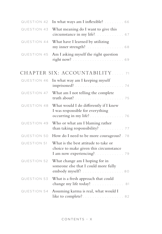| QUESTION 42 | In what ways am I inflexible? 66                                                            |
|-------------|---------------------------------------------------------------------------------------------|
| QUESTION 43 | What meaning do I want to give this                                                         |
| QUESTION 44 | What have I learned by utilizing                                                            |
| QUESTION 45 | Am I asking myself the right question                                                       |
|             | CHAPTER SIX: ACCOUNTABILITY<br>71                                                           |
| QUESTION 46 | In what way am I keeping myself                                                             |
| QUESTION 47 | What am I not telling the complete                                                          |
| QUESTION 48 | What would I do differently if I knew<br>I was responsible for everything                   |
| QUESTION 49 | Who or what am I blaming rather<br>than taking responsibility? 77                           |
| QUESTION 50 | How do I need to be more courageous? . 78                                                   |
| QUESTION 51 | What is the best attitude to take or<br>choice to make given this circumstance              |
| QUESTION 52 | What change am I hoping for in<br>someone else that I could more fully<br>embody myself? 80 |
| QUESTION 53 | What is a fresh approach that could<br>change my life today? 81                             |
| QUESTION 54 | Assuming karma is real, what would I                                                        |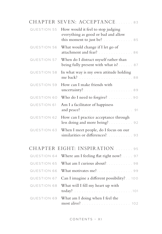|                    | CHAPTER SEVEN: ACCEPTANCE83                                                                            |
|--------------------|--------------------------------------------------------------------------------------------------------|
| QUESTION 55        | How would it feel to stop judging<br>everything as good or bad and allow<br>this moment to just be? 85 |
| <b>QUESTION 56</b> | What would change if I let go of<br>attachment and fear? 86                                            |
| QUESTION 57        | When do I distract myself rather than<br>being fully present with what is? 87                          |
| <b>QUESTION 58</b> | In what way is my own attitude holding                                                                 |
| <b>QUESTION 59</b> | How can I make friends with                                                                            |
| QUESTION 60        | Who do I need to forgive? 90                                                                           |
| QUESTION 61        | Am I a facilitator of happiness                                                                        |
| QUESTION 62        | How can I practice acceptance through                                                                  |
| QUESTION 63        | When I meet people, do I focus on our                                                                  |
|                    | CHAPTER EIGHT: INSPIRATION 95                                                                          |
| QUESTION 64        | Where am I feeling flat right now? 97                                                                  |
| <b>QUESTION 65</b> | What am I curious about?98                                                                             |
| QUESTION 66        |                                                                                                        |
| QUESTION 67        | Can I imagine a different possibility? 100                                                             |
| <b>QUESTION 68</b> | What will I fill my heart up with                                                                      |
| QUESTION 69        | What am I doing when I feel the                                                                        |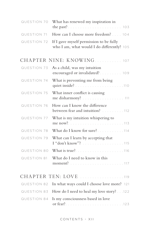| QUESTION 70 What has renewed my inspiration in                                                    |
|---------------------------------------------------------------------------------------------------|
| QUESTION 71 How can I choose more freedom? 104                                                    |
| QUESTION 72 If I gave myself permission to be fully<br>who I am, what would I do differently? 105 |

# CHAPTER NINE: KNOWING ................ 107

| QUESTION 73        | As a child, was my intuition                                     |
|--------------------|------------------------------------------------------------------|
| QUESTION 74        | What is preventing me from being                                 |
| QUESTION 75        | What inner conflict is causing<br>me disharmony? 111             |
| QUESTION 76        | How can I know the difference<br>between fear and intuition? 112 |
|                    | $QUESTION 77$ What is my intuition whispering to                 |
| <b>QUESTION 78</b> | What do I know for sure?114                                      |
| QUESTION 79        | What can I learn by accepting that<br>I "don't know"? 115        |
| QUESTION 80        |                                                                  |
| QUESTION 81        | What do I need to know in this                                   |

| CHAPTER TEN: LOVE 119                                  |
|--------------------------------------------------------|
| QUESTION 82 In what ways could I choose love more? 121 |
| QUESTION 83 How do I need to heal my love story? 122   |
| QUESTION 84 Is my consciousness based in love          |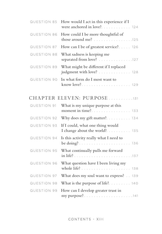| QUESTION 85        | How would I act in this experience if I                           |
|--------------------|-------------------------------------------------------------------|
| QUESTION 86        | How could I be more thoughtful of<br>those around me? 125         |
| QUESTION 87        | How can I be of greatest service? 126                             |
| QUESTION 88        | What sadness is keeping me<br>separated from love? 127            |
| <b>QUESTION 89</b> | What might be different if I replaced<br>judgment with love? 128  |
| QUESTION 90        | In what form do I most want to<br>know love? 129                  |
|                    | CHAPTER ELEVEN: PURPOSE 131                                       |
| QUESTION 91        | What is my unique purpose at this                                 |
| QUESTION 92        |                                                                   |
| QUESTION 93        | If I could, what one thing would<br>I change about the world? 135 |
| QUESTION 94        | Is this activity really what I need to                            |
| QUESTION 95        | What continually pulls me forward                                 |
| QUESTION 96        | What question have I been living my                               |
| QUESTION 97        | What does my soul want to express?<br>139                         |
| <b>QUESTION 98</b> | What is the purpose of life? 140                                  |
| QUESTION 99        | How can I develop greater trust in                                |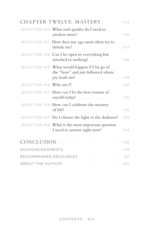| CHAPTER TWELVE: MASTERY  143                                                        |
|-------------------------------------------------------------------------------------|
| QUESTION 100 What soul quality do I need to<br>awaken more?146                      |
| QUESTION 101 How does my ego most often try to<br>delude me?147                     |
| QUESTION 102 Can I be open to everything but<br>attached to nothing? 148            |
| QUESTION 103 What would happen if I let go of<br>the "how" and just followed where  |
|                                                                                     |
| QUESTION 105 How can I be the best version of                                       |
| QUESTION 106 How can I celebrate the mystery                                        |
| QUESTION 107 Do I choose the light or the darkness? . 153                           |
| QUESTION 108 What is the most important question<br>I need to answer right now? 154 |
|                                                                                     |
| ACKNOWLEDGMENTS159                                                                  |
| RECOMMENDED RESOURCES161                                                            |
| ABOUT THE AUTHOR 163                                                                |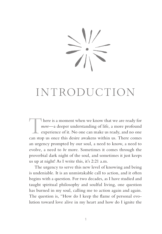# Introduction

There is a moment when we know that we are ready for *more*—a deeper understanding of life, a more profound experience of it. No one can make us ready, and no one *more*—a deeper understanding of life, a more profound can stop us once this desire awakens within us. There comes an urgency prompted by our soul, a need to know, a need to evolve, a need to *be* more. Sometimes it comes through the proverbial dark night of the soul, and sometimes it just keeps us up at night! As I write this, it's 2:21 a.m.

The urgency to serve this new level of knowing and being is undeniable. It is an unmistakable call to action, and it often begins with a question. For two decades, as I have studied and taught spiritual philosophy and soulful living, one question has burned in my soul, calling me to action again and again. The question is, "How do I keep the fame of personal evolution toward love alive in my heart and how do I ignite the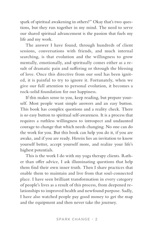spark of spiritual awakening in others?" Okay that's two questions, but they run together in my mind. The need to serve our shared spiritual advancement is the passion that fuels my life and my work.

The answer I have found, through hundreds of client sessions, conversations with friends, and much internal searching, is that evolution and the willingness to grow mentally, emotionally, and spiritually comes either as a result of dramatic pain and sufering or through the blessing of love. Once this directive from our soul has been ignited, it is painful to try to ignore it. Fortunately, when we give our full attention to personal evolution, it becomes a rock-solid foundation for our happiness.

If this makes sense to you, keep reading, but prepare yourself. Most people want simple answers and an easy button. This book has complex questions and a reality check. There is *no* easy button to spiritual self-awareness. It is a process that requires a ruthless willingness to introspect and undaunted courage to change that which needs changing. No one can do the work for you. But this book can help you do it, if you are awake, and if you are ready. Herein lies an invitation to know yourself better, accept yourself more, and realize your life's highest potentials.

This is the work I do with my yoga therapy clients. Rather than offer advice, I ask illuminating questions that help them fnd their own inner truth. Then I share practices that enable them to maintain and live from that soul-connected place. I have seen brilliant transformation in every category of people's lives as a result of this process, from deepened relationships to improved health and newfound purpose. Sadly, I have also watched people pay good money to get the map and the equipment and then never take the journey.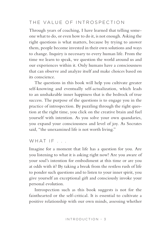## THE VALUE OF INTROSPECTION

Through years of coaching, I have learned that telling someone what to do, or even how to do it, is not enough. Asking the right questions is what matters, because by trying to answer them, people become invested in their own solutions and ways to change. Inquiry is necessary to every human life. From the time we learn to speak, we question the world around us and our experiences within it. Only humans have a consciousness that can observe and analyze itself and make choices based on its conscience.

The questions in this book will help you cultivate greater self-knowing and eventually self-actualization, which leads to an unshakeable inner happiness that is the bedrock of true success. The purpose of the questions is to engage you in the practice of introspection. By puzzling through the right question at the right time, you click on the creative brain and fuel yourself with intention. As you solve your own quandaries, you expand your consciousness and level of joy. As Socrates said, "the unexamined life is not worth living."

#### WHAT IF

Imagine for a moment that life has a question for you. Are you listening to what it is asking right now? Are you aware of your soul's intention for embodiment at this time or are you at odds with it? By taking a break from the restless rush of life to ponder such questions and to listen to your inner spirit, you give yourself an exceptional gift and consciously invoke your personal evolution.

Introspection such as this book suggests is not for the fainthearted or the self-critical. It is essential to cultivate a positive relationship with our own minds, assessing whether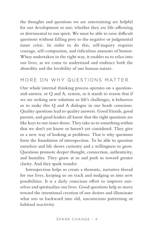the thoughts and questions we are entertaining are helpful for our development or not; whether they are life-affirming or detrimental to our spirit. We must be able to raise difficult questions without falling prey to the negative or judgmental inner critic. In order to do this, self-inquiry requires courage, self-compassion, and ridiculous amounts of humor. When undertaken in the right way, it enables us to relax into our lives, as we come to understand and embrace both the absurdity and the lovability of our human nature.

# MORE ON WHY QUESTIONS MATTER

Our whole internal thinking process operates on a questionand-answer, or Q and A, system, so it stands to reason that if we are seeking new solutions to life's challenges, it behooves us to make this Q and A dialogue in our heads conscious. Quality questions lead to quality answers. Good friends, good parents, and good leaders all know that the right questions are like keys to our inner doors. They take us to something within that we don't yet know or haven't yet considered. They give us a new way of looking at problems. That is why questions form the foundation of introspection. To be able to question ourselves and life shows curiosity and a willingness to grow. Questions promote deeper thought, connection, authenticity, and humility. They gnaw at us and push us toward greater clarity. And they spark wonder.

Introspection helps us create a thematic, narrative thread for our lives, keeping us on track and nudging us into new possibilities. It is a daily conscious effort to improve ourselves and spiritualize our lives. Good questions help us move toward the intentional creation of our desires and illuminate what sets us backward into old, unconscious patterning or habitual reactivity.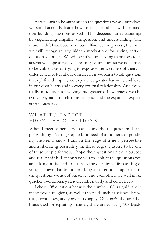As we learn to be authentic in the questions we ask ourselves, we simultaneously learn how to engage others with connection-building questions as well. This deepens our relationships by engendering empathy, compassion, and understanding. The more truthful we become in our self-refection process, the more we will recognize any hidden motivations for asking certain questions of others. We will see if we are leading them toward an answer we hope to receive, creating a distraction so we don't have to be vulnerable, or trying to expose some weakness of theirs in order to feel better about ourselves. As we learn to ask questions that uplift and inspire, we experience greater harmony and love, in our own hearts and in every external relationship. And eventually, in addition to evolving into greater self-awareness, we also evolve beyond it to self-transcendence and the expanded experience of oneness.

# WHAT TO EXPECT FROM THE QUESTIONS

When I meet someone who asks powerhouse questions, I tingle with joy. Feeling stopped, in need of a moment to ponder my answer, I know I am on the edge of a new perspective and a liberating possibility. In these pages, I aspire to be one of these people for you. I hope these questions make you stop and really think. I encourage you to look at the questions you are asking of life and to listen to the questions life is asking of you. I believe that by undertaking an intentional approach to the questions we ask of ourselves and each other, we will make quicker evolutionary strides, individually and collectively.

I chose 108 questions because the number 108 is signifcant in many world religions, as well as in felds such as science, literature, technology, and yogic philosophy. On a *mala*, the strand of beads used for repeating mantras, there are typically 108 beads.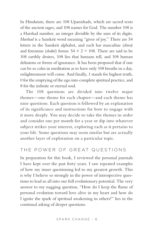In Hinduism, there are 108 Upanishads, which are sacred texts of the ancient sages, and 108 names for God. The number 108 is a Harshad number, an integer divisible by the sum of its digits. *Harshad* is a Sanskrit word meaning "giver of joy." There are 54 letters in the Sanskrit alphabet, and each has masculine (*shiva*) and feminine *(shakti)* forms:  $54 \times 2 = 108$ . There are said to be 108 earthly desires, 108 lies that humans tell, and 108 human delusions or forms of ignorance. It has been proposed that if one can be so calm in meditation as to have only 108 breaths in a day, enlightenment will come. And fnally, 1 stands for highest truth, 0 for the emptying of the ego into complete spiritual practice, and 8 for the infnite or eternal soul.

The 108 questions are divided into twelve major themes—one theme for each chapter—and each theme has nine questions. Each question is followed by an explanation of its signifcance and instructions for how to engage with it more deeply. You may decide to take the themes in order and consider one per month for a year or dip into whatever subject strikes your interest, exploring each as it pertains to your life. Some questions may seem similar but are actually another layer of exploration on a particular topic.

### THE POWER OF GREAT QUESTIONS

In preparation for this book, I reviewed the personal journals I have kept over the past forty years. I saw repeated examples of how my inner questioning led to my greatest growth. This is why I believe so strongly in the power of introspective questions to lead us all into our full evolutionary potential. The very answer to my nagging question, "How do I keep the fame of personal evolution toward love alive in my heart and how do I ignite the spark of spiritual awakening in others?" lies in the continual asking of deeper questions.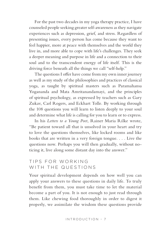For the past two decades in my yoga therapy practice, I have counseled people seeking greater self-awareness as they navigate experiences such as depression, grief, and stress. Regardless of presenting issues, every person has come because they want to feel happier, more at peace with themselves and the world they live in, and more able to cope with life's challenges. They seek a deeper meaning and purpose in life and a connection to their soul and to the transcendent energy of life itself. This is the driving force beneath all the things we call "self-help."

The questions I offer have come from my own inner journey as well as my study of the philosophies and practices of classical yoga, as taught by spiritual masters such as Paramahansa Yogananda and Mata Amritanandamayi, and the principles of spiritual psychology, as expressed by teachers such as Gary Zukav, Carl Rogers, and Eckhart Tolle. By working through the 108 questions you will learn to listen deeply to your soul and determine what life is calling for you to learn or to express.

In his *Letters to a Young Poet*, Rainer Maria Rilke wrote, "Be patient toward all that is unsolved in your heart and try to love the questions themselves, like locked rooms and like books that are written in a very foreign tongue. . . . Live the questions now. Perhaps you will then gradually, without noticing it, live along some distant day into the answer."

# TIPS FOR WORKING WITH THE QUESTIONS

Your spiritual development depends on how well you can apply your answers to these questions in daily life. To truly benefit from them, you must take time to let the material become a part of you. It is not enough to just read through them. Like chewing food thoroughly in order to digest it properly, we assimilate the wisdom these questions provide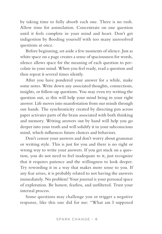by taking time to fully absorb each one. There is no rush. Allow time for assimilation. Concentrate on one question until it feels complete in your mind and heart. Don't get indigestion by fooding yourself with too many unresolved questions at once.

Before beginning, set aside a few moments of silence. Just as white space on a page creates a sense of spaciousness for words, silence allows space for the meaning of each question to percolate in your mind. When you feel ready, read a question and then repeat it several times silently.

After you have pondered your answer for a while, make some notes. Write down any associated thoughts, connections, insights, or follow-up questions. You may even try writing the question out, as this will help your mind bring in your right answer. Life moves into manifestation from our minds through our hands. The synchronicity created by directing pen across paper activates parts of the brain associated with both thinking and memory. Writing answers out by hand will help you go deeper into your truth and will solidify it in your subconscious mind, which infuences future choices and behaviors.

Don't censor your answers and don't worry about grammar or writing style. This is just for you and there is no right or wrong way to write your answers. If you get stuck on a question, you do not need to feel inadequate to it, just recognize that it requires patience and the willingness to look deeper. Try rewording it in a way that makes more sense to you. If any fear arises, it is probably related to not having the answers immediately. No problem! Your journal is your personal space of exploration. Be honest, fearless, and unfltered. Trust your internal process.

Some questions may challenge you or trigger a negative response, like this one did for me: "What am I supposed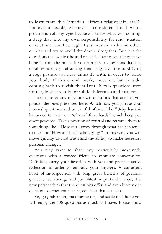to learn from this (situation, difficult relationship, etc.)?" For over a decade, whenever I considered this, I would groan and roll my eyes because I knew what was coming: a deep dive into my own responsibility for said situation or relational confict. Ugh! I just wanted to blame others or hide and try to avoid the drama altogether. But it is the questions that we loathe and resist that are often the ones we beneft from the most. If you run across questions that feel troublesome, try reframing them slightly, like modifying a yoga posture you have difficulty with, in order to honor your body. If this doesn't work, move on, but consider coming back to revisit them later. If two questions seem similar, look carefully for subtle diferences and nuances.

Take note of any of your own questions that arise as you ponder the ones presented here. Watch how you phrase your internal questions and be careful of ones like "Why has this happened to me?" or "Why is life so hard?" which keep you disempowered. Take a position of control and reframe them to something like, "How can I grow through what has happened to me?" or "How am I self-sabotaging?" In this way, you will move quickly toward truth and the ability to make necessary personal changes.

You may want to share any particularly meaningful questions with a trusted friend to stimulate conversation. Defnitely carry your favorites with you and practice active refection in order to embody your answers. A consistent habit of introspection will reap great benefts of personal growth, well-being, and joy. Most importantly, enjoy the new perspectives that the questions offer, and even if only one question touches your heart, consider that a success.

So, go grab a pen, make some tea, and settle in. I hope you will enjoy the 108 questions as much as I have. Please know